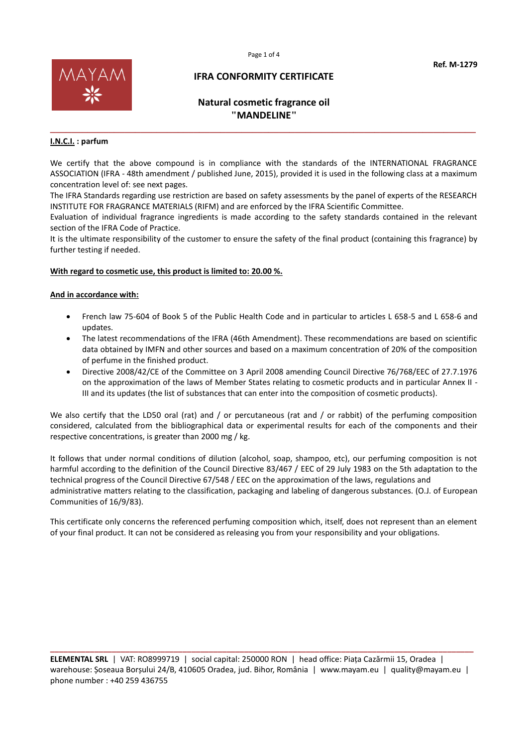

# **Natural cosmetic fragrance oil "MANDELINE"**

**\_\_\_\_\_\_\_\_\_\_\_\_\_\_\_\_\_\_\_\_\_\_\_\_\_\_\_\_\_\_\_\_\_\_\_\_\_\_\_\_\_\_\_\_\_\_\_\_\_\_\_\_\_\_\_\_\_\_\_\_\_\_\_\_\_\_\_\_\_\_\_\_\_\_\_\_\_\_\_\_**

### **I.N.C.I. : parfum**

We certify that the above compound is in compliance with the standards of the INTERNATIONAL FRAGRANCE ASSOCIATION (IFRA - 48th amendment / published June, 2015), provided it is used in the following class at a maximum concentration level of: see next pages.

The IFRA Standards regarding use restriction are based on safety assessments by the panel of experts of the RESEARCH INSTITUTE FOR FRAGRANCE MATERIALS (RIFM) and are enforced by the IFRA Scientific Committee.

Evaluation of individual fragrance ingredients is made according to the safety standards contained in the relevant section of the IFRA Code of Practice.

It is the ultimate responsibility of the customer to ensure the safety of the final product (containing this fragrance) by further testing if needed.

### **With regard to cosmetic use, this product is limited to: 20.00 %.**

### **And in accordance with:**

- French law 75-604 of Book 5 of the Public Health Code and in particular to articles L 658-5 and L 658-6 and updates.
- The latest recommendations of the IFRA (46th Amendment). These recommendations are based on scientific data obtained by IMFN and other sources and based on a maximum concentration of 20% of the composition of perfume in the finished product.
- Directive 2008/42/CE of the Committee on 3 April 2008 amending Council Directive 76/768/EEC of 27.7.1976 on the approximation of the laws of Member States relating to cosmetic products and in particular Annex II - III and its updates (the list of substances that can enter into the composition of cosmetic products).

We also certify that the LD50 oral (rat) and / or percutaneous (rat and / or rabbit) of the perfuming composition considered, calculated from the bibliographical data or experimental results for each of the components and their respective concentrations, is greater than 2000 mg / kg.

It follows that under normal conditions of dilution (alcohol, soap, shampoo, etc), our perfuming composition is not harmful according to the definition of the Council Directive 83/467 / EEC of 29 July 1983 on the 5th adaptation to the technical progress of the Council Directive 67/548 / EEC on the approximation of the laws, regulations and administrative matters relating to the classification, packaging and labeling of dangerous substances. (O.J. of European Communities of 16/9/83).

This certificate only concerns the referenced perfuming composition which, itself, does not represent than an element of your final product. It can not be considered as releasing you from your responsibility and your obligations.

**\_\_\_\_\_\_\_\_\_\_\_\_\_\_\_\_\_\_\_\_\_\_\_\_\_\_\_\_\_\_\_\_\_\_\_\_\_\_\_\_\_\_\_\_\_\_\_\_\_\_\_\_\_\_\_\_\_\_\_\_\_\_\_\_\_\_\_\_\_\_\_\_\_\_\_\_\_\_\_\_\_\_\_\_\_\_\_\_\_\_\_\_\_\_\_\_ ELEMENTAL SRL** | VAT: RO8999719 | social capital: 250000 RON | head office: Piața Cazărmii 15, Oradea | warehouse: Șoseaua Borșului 24/B, 410605 Oradea, jud. Bihor, România | www.mayam.eu | quality@mayam.eu | phone number : +40 259 436755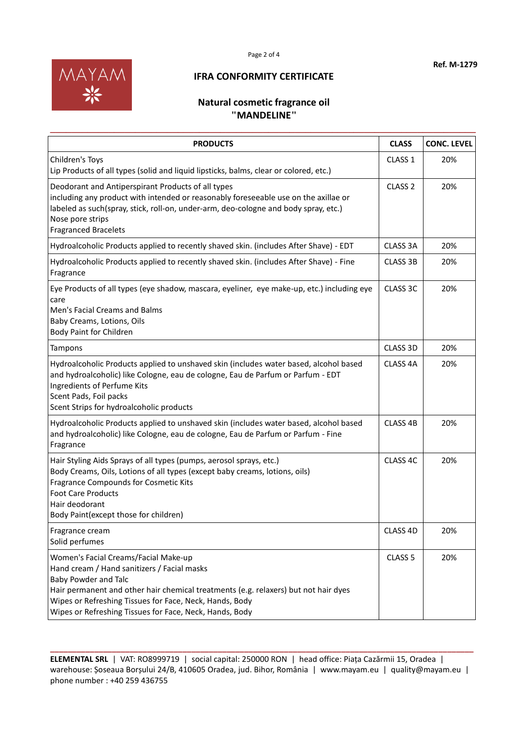

## **Natural cosmetic fragrance oil "MANDELINE"**

| <b>PRODUCTS</b>                                                                                                                                                                                                                                                                                                                 | <b>CLASS</b>        | <b>CONC. LEVEL</b> |
|---------------------------------------------------------------------------------------------------------------------------------------------------------------------------------------------------------------------------------------------------------------------------------------------------------------------------------|---------------------|--------------------|
| Children's Toys<br>Lip Products of all types (solid and liquid lipsticks, balms, clear or colored, etc.)                                                                                                                                                                                                                        | CLASS <sub>1</sub>  | 20%                |
| Deodorant and Antiperspirant Products of all types<br>including any product with intended or reasonably foreseeable use on the axillae or<br>labeled as such(spray, stick, roll-on, under-arm, deo-cologne and body spray, etc.)<br>Nose pore strips<br><b>Fragranced Bracelets</b>                                             | CLASS <sub>2</sub>  | 20%                |
| Hydroalcoholic Products applied to recently shaved skin. (includes After Shave) - EDT                                                                                                                                                                                                                                           | CLASS 3A            | 20%                |
| Hydroalcoholic Products applied to recently shaved skin. (includes After Shave) - Fine<br>Fragrance                                                                                                                                                                                                                             | <b>CLASS 3B</b>     | 20%                |
| Eye Products of all types (eye shadow, mascara, eyeliner, eye make-up, etc.) including eye<br>care<br>Men's Facial Creams and Balms<br>Baby Creams, Lotions, Oils<br>Body Paint for Children                                                                                                                                    | CLASS 3C            | 20%                |
| Tampons                                                                                                                                                                                                                                                                                                                         | CLASS 3D            | 20%                |
| Hydroalcoholic Products applied to unshaved skin (includes water based, alcohol based<br>and hydroalcoholic) like Cologne, eau de cologne, Eau de Parfum or Parfum - EDT<br>Ingredients of Perfume Kits<br>Scent Pads, Foil packs<br>Scent Strips for hydroalcoholic products                                                   | CLASS <sub>4A</sub> | 20%                |
| Hydroalcoholic Products applied to unshaved skin (includes water based, alcohol based<br>and hydroalcoholic) like Cologne, eau de cologne, Eau de Parfum or Parfum - Fine<br>Fragrance                                                                                                                                          | CLASS <sub>4B</sub> | 20%                |
| Hair Styling Aids Sprays of all types (pumps, aerosol sprays, etc.)<br>Body Creams, Oils, Lotions of all types (except baby creams, lotions, oils)<br>Fragrance Compounds for Cosmetic Kits<br><b>Foot Care Products</b><br>Hair deodorant<br>Body Paint(except those for children)                                             | CLASS 4C            | 20%                |
| Fragrance cream<br>Solid perfumes                                                                                                                                                                                                                                                                                               | CLASS 4D            | 20%                |
| Women's Facial Creams/Facial Make-up<br>Hand cream / Hand sanitizers / Facial masks<br><b>Baby Powder and Talc</b><br>Hair permanent and other hair chemical treatments (e.g. relaxers) but not hair dyes<br>Wipes or Refreshing Tissues for Face, Neck, Hands, Body<br>Wipes or Refreshing Tissues for Face, Neck, Hands, Body | CLASS <sub>5</sub>  | 20%                |

**\_\_\_\_\_\_\_\_\_\_\_\_\_\_\_\_\_\_\_\_\_\_\_\_\_\_\_\_\_\_\_\_\_\_\_\_\_\_\_\_\_\_\_\_\_\_\_\_\_\_\_\_\_\_\_\_\_\_\_\_\_\_\_\_\_\_\_\_\_\_\_\_\_\_\_\_\_\_\_\_\_\_\_\_\_\_\_\_\_\_\_\_\_\_\_\_ ELEMENTAL SRL** | VAT: RO8999719 | social capital: 250000 RON | head office: Piața Cazărmii 15, Oradea | warehouse: Șoseaua Borșului 24/B, 410605 Oradea, jud. Bihor, România | www.mayam.eu | quality@mayam.eu | phone number : +40 259 436755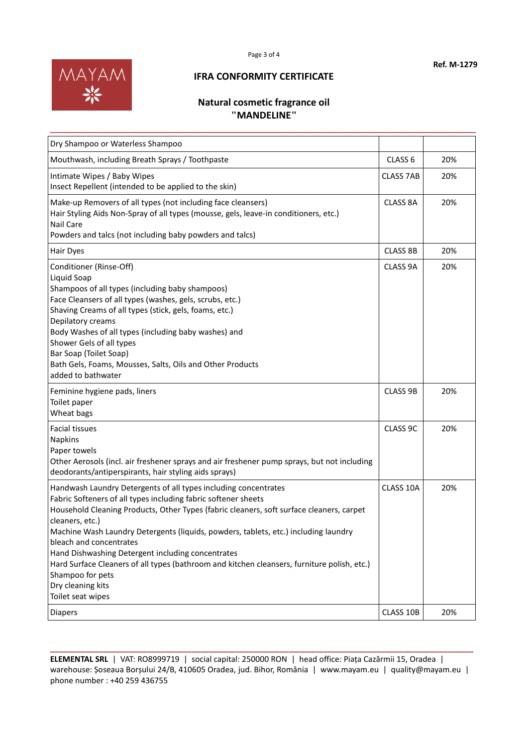



# **Natural cosmetic fragrance oil "MANDELINE"**

**\_\_\_\_\_\_\_\_\_\_\_\_\_\_\_\_\_\_\_\_\_\_\_\_\_\_\_\_\_\_\_\_\_\_\_\_\_\_\_\_\_\_\_\_\_\_\_\_\_\_\_\_\_\_\_\_\_\_\_\_\_\_\_\_\_\_\_\_\_\_\_\_\_\_\_\_\_\_\_\_**

| Dry Shampoo or Waterless Shampoo                                                                                                                                                                                                                                                                                                                                                                                                                                                                                                                                                     |                    |     |
|--------------------------------------------------------------------------------------------------------------------------------------------------------------------------------------------------------------------------------------------------------------------------------------------------------------------------------------------------------------------------------------------------------------------------------------------------------------------------------------------------------------------------------------------------------------------------------------|--------------------|-----|
| Mouthwash, including Breath Sprays / Toothpaste                                                                                                                                                                                                                                                                                                                                                                                                                                                                                                                                      | CLASS <sub>6</sub> | 20% |
| Intimate Wipes / Baby Wipes<br>Insect Repellent (intended to be applied to the skin)                                                                                                                                                                                                                                                                                                                                                                                                                                                                                                 | <b>CLASS 7AB</b>   | 20% |
| Make-up Removers of all types (not including face cleansers)<br>Hair Styling Aids Non-Spray of all types (mousse, gels, leave-in conditioners, etc.)<br><b>Nail Care</b><br>Powders and talcs (not including baby powders and talcs)                                                                                                                                                                                                                                                                                                                                                 | <b>CLASS 8A</b>    | 20% |
| Hair Dyes                                                                                                                                                                                                                                                                                                                                                                                                                                                                                                                                                                            | <b>CLASS 8B</b>    | 20% |
| Conditioner (Rinse-Off)<br>Liquid Soap<br>Shampoos of all types (including baby shampoos)<br>Face Cleansers of all types (washes, gels, scrubs, etc.)<br>Shaving Creams of all types (stick, gels, foams, etc.)<br>Depilatory creams<br>Body Washes of all types (including baby washes) and<br>Shower Gels of all types<br>Bar Soap (Toilet Soap)<br>Bath Gels, Foams, Mousses, Salts, Oils and Other Products<br>added to bathwater                                                                                                                                                | CLASS 9A           | 20% |
| Feminine hygiene pads, liners<br>Toilet paper<br>Wheat bags                                                                                                                                                                                                                                                                                                                                                                                                                                                                                                                          | CLASS 9B           | 20% |
| <b>Facial tissues</b><br>Napkins<br>Paper towels<br>Other Aerosols (incl. air freshener sprays and air freshener pump sprays, but not including<br>deodorants/antiperspirants, hair styling aids sprays)                                                                                                                                                                                                                                                                                                                                                                             | CLASS 9C           | 20% |
| Handwash Laundry Detergents of all types including concentrates<br>Fabric Softeners of all types including fabric softener sheets<br>Household Cleaning Products, Other Types (fabric cleaners, soft surface cleaners, carpet<br>cleaners, etc.)<br>Machine Wash Laundry Detergents (liquids, powders, tablets, etc.) including laundry<br>bleach and concentrates<br>Hand Dishwashing Detergent including concentrates<br>Hard Surface Cleaners of all types (bathroom and kitchen cleansers, furniture polish, etc.)<br>Shampoo for pets<br>Dry cleaning kits<br>Toilet seat wipes | CLASS 10A          | 20% |
| <b>Diapers</b>                                                                                                                                                                                                                                                                                                                                                                                                                                                                                                                                                                       | CLASS 10B          | 20% |

**\_\_\_\_\_\_\_\_\_\_\_\_\_\_\_\_\_\_\_\_\_\_\_\_\_\_\_\_\_\_\_\_\_\_\_\_\_\_\_\_\_\_\_\_\_\_\_\_\_\_\_\_\_\_\_\_\_\_\_\_\_\_\_\_\_\_\_\_\_\_\_\_\_\_\_\_\_\_\_\_\_\_\_\_\_\_\_\_\_\_\_\_\_\_\_\_ ELEMENTAL SRL** | VAT: RO8999719 | social capital: 250000 RON | head office: Piața Cazărmii 15, Oradea | warehouse: Șoseaua Borșului 24/B, 410605 Oradea, jud. Bihor, România | www.mayam.eu | quality@mayam.eu | phone number : +40 259 436755